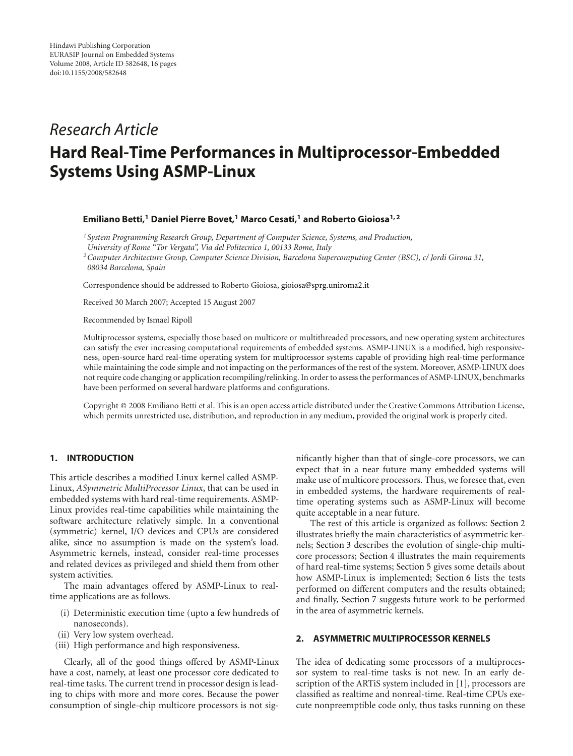# *Research Article*

# **Hard Real-Time Performances in Multiprocessor-Embedded Systems Using ASMP-Linux**

#### **Emiliano Betti,1 Daniel Pierre Bovet,1 Marco Cesati,1 and Roberto Gioiosa1, 2**

*<sup>1</sup> System Programming Research Group, Department of Computer Science, Systems, and Production,*

*University of Rome "Tor Vergata", Via del Politecnico 1, 00133 Rome, Italy*

*2Computer Architecture Group, Computer Science Division, Barcelona Supercomputing Center (BSC), c/ Jordi Girona 31, 08034 Barcelona, Spain*

Correspondence should be addressed to Roberto Gioiosa, gioiosa@sprg.uniroma2.it

Received 30 March 2007; Accepted 15 August 2007

Recommended by Ismael Ripoll

Multiprocessor systems, especially those based on multicore or multithreaded processors, and new operating system architectures can satisfy the ever increasing computational requirements of embedded systems. ASMP-LINUX is a modified, high responsiveness, open-source hard real-time operating system for multiprocessor systems capable of providing high real-time performance while maintaining the code simple and not impacting on the performances of the rest of the system. Moreover, ASMP-LINUX does not require code changing or application recompiling/relinking. In order to assess the performances of ASMP-LINUX, benchmarks have been performed on several hardware platforms and configurations.

Copyright © 2008 Emiliano Betti et al. This is an open access article distributed under the Creative Commons Attribution License, which permits unrestricted use, distribution, and reproduction in any medium, provided the original work is properly cited.

#### **1. INTRODUCTION**

This article describes a modified Linux kernel called ASMP-Linux, *ASymmetric MultiProcessor Linux*, that can be used in embedded systems with hard real-time requirements. ASMP-Linux provides real-time capabilities while maintaining the software architecture relatively simple. In a conventional (symmetric) kernel, I/O devices and CPUs are considered alike, since no assumption is made on the system's load. Asymmetric kernels, instead, consider real-time processes and related devices as privileged and shield them from other system activities.

The main advantages offered by ASMP-Linux to realtime applications are as follows.

- (i) Deterministic execution time (upto a few hundreds of nanoseconds).
- (ii) Very low system overhead.
- (iii) High performance and high responsiveness.

Clearly, all of the good things offered by ASMP-Linux have a cost, namely, at least one processor core dedicated to real-time tasks. The current trend in processor design is leading to chips with more and more cores. Because the power consumption of single-chip multicore processors is not significantly higher than that of single-core processors, we can expect that in a near future many embedded systems will make use of multicore processors. Thus, we foresee that, even in embedded systems, the hardware requirements of realtime operating systems such as ASMP-Linux will become quite acceptable in a near future.

The rest of this article is organized as follows: Section 2 illustrates briefly the main characteristics of asymmetric kernels; Section 3 describes the evolution of single-chip multicore processors; Section 4 illustrates the main requirements of hard real-time systems; Section 5 gives some details about how ASMP-Linux is implemented; Section 6 lists the tests performed on different computers and the results obtained; and finally, Section 7 suggests future work to be performed in the area of asymmetric kernels.

# **2. ASYMMETRIC MULTIPROCESSOR KERNELS**

The idea of dedicating some processors of a multiprocessor system to real-time tasks is not new. In an early description of the ARTiS system included in [1], processors are classified as realtime and nonreal-time. Real-time CPUs execute nonpreemptible code only, thus tasks running on these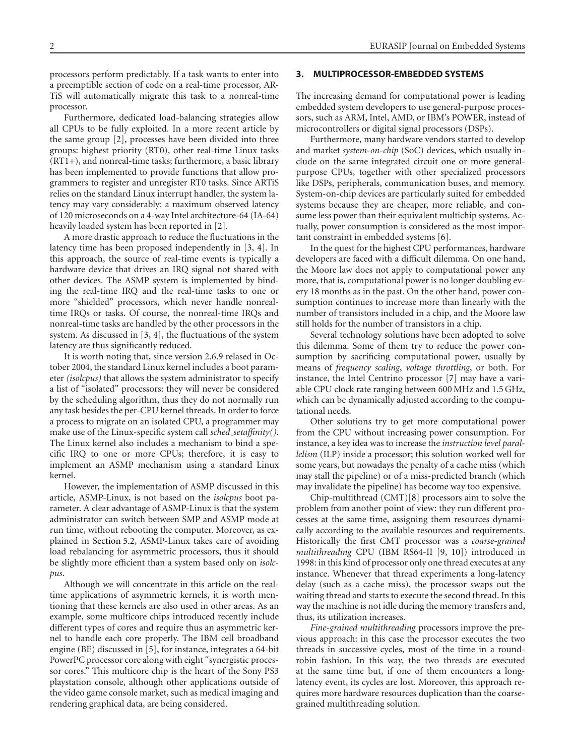processors perform predictably. If a task wants to enter into a preemptible section of code on a real-time processor, AR-TiS will automatically migrate this task to a nonreal-time processor.

Furthermore, dedicated load-balancing strategies allow all CPUs to be fully exploited. In a more recent article by the same group [2], processes have been divided into three groups: highest priority (RT0), other real-time Linux tasks (RT1+), and nonreal-time tasks; furthermore, a basic library has been implemented to provide functions that allow programmers to register and unregister RT0 tasks. Since ARTiS relies on the standard Linux interrupt handler, the system latency may vary considerably: a maximum observed latency of 120 microseconds on a 4-way Intel architecture-64 (IA-64) heavily loaded system has been reported in [2].

A more drastic approach to reduce the fluctuations in the latency time has been proposed independently in [3, 4]. In this approach, the source of real-time events is typically a hardware device that drives an IRQ signal not shared with other devices. The ASMP system is implemented by binding the real-time IRQ and the real-time tasks to one or more "shielded" processors, which never handle nonrealtime IRQs or tasks. Of course, the nonreal-time IRQs and nonreal-time tasks are handled by the other processors in the system. As discussed in [3, 4], the fluctuations of the system latency are thus significantly reduced.

It is worth noting that, since version 2.6.9 relased in October 2004, the standard Linux kernel includes a boot parameter *(isolcpus)* that allows the system administrator to specify a list of "isolated" processors: they will never be considered by the scheduling algorithm, thus they do not normally run any task besides the per-CPU kernel threads. In order to force a process to migrate on an isolated CPU, a programmer may make use of the Linux-specific system call *sched setaffinity()*. The Linux kernel also includes a mechanism to bind a specific IRQ to one or more CPUs; therefore, it is easy to implement an ASMP mechanism using a standard Linux kernel.

However, the implementation of ASMP discussed in this article, ASMP-Linux, is not based on the *isolcpus* boot parameter. A clear advantage of ASMP-Linux is that the system administrator can switch between SMP and ASMP mode at run time, without rebooting the computer. Moreover, as explained in Section 5.2, ASMP-Linux takes care of avoiding load rebalancing for asymmetric processors, thus it should be slightly more efficient than a system based only on *isolcpus*.

Although we will concentrate in this article on the realtime applications of asymmetric kernels, it is worth mentioning that these kernels are also used in other areas. As an example, some multicore chips introduced recently include different types of cores and require thus an asymmetric kernel to handle each core properly. The IBM cell broadband engine (BE) discussed in [5], for instance, integrates a 64-bit PowerPC processor core along with eight "synergistic processor cores." This multicore chip is the heart of the Sony PS3 playstation console, although other applications outside of the video game console market, such as medical imaging and rendering graphical data, are being considered.

# **3. MULTIPROCESSOR-EMBEDDED SYSTEMS**

The increasing demand for computational power is leading embedded system developers to use general-purpose processors, such as ARM, Intel, AMD, or IBM's POWER, instead of microcontrollers or digital signal processors (DSPs).

Furthermore, many hardware vendors started to develop and market *system-on-chip* (SoC) devices, which usually include on the same integrated circuit one or more generalpurpose CPUs, together with other specialized processors like DSPs, peripherals, communication buses, and memory. System-on-chip devices are particularly suited for embedded systems because they are cheaper, more reliable, and consume less power than their equivalent multichip systems. Actually, power consumption is considered as the most important constraint in embedded systems [6].

In the quest for the highest CPU performances, hardware developers are faced with a difficult dilemma. On one hand, the Moore law does not apply to computational power any more, that is, computational power is no longer doubling every 18 months as in the past. On the other hand, power consumption continues to increase more than linearly with the number of transistors included in a chip, and the Moore law still holds for the number of transistors in a chip.

Several technology solutions have been adopted to solve this dilemma. Some of them try to reduce the power consumption by sacrificing computational power, usually by means of *frequency scaling*, *voltage throttling*, or both. For instance, the Intel Centrino processor [7] may have a variable CPU clock rate ranging between 600 MHz and 1.5 GHz, which can be dynamically adjusted according to the computational needs.

Other solutions try to get more computational power from the CPU without increasing power consumption. For instance, a key idea was to increase the *instruction level parallelism* (ILP) inside a processor; this solution worked well for some years, but nowadays the penalty of a cache miss (which may stall the pipeline) or of a miss-predicted branch (which may invalidate the pipeline) has become way too expensive.

Chip-multithread (CMT)[8] processors aim to solve the problem from another point of view: they run different processes at the same time, assigning them resources dynamically according to the available resources and requirements. Historically the first CMT processor was a *coarse-grained multithreading* CPU (IBM RS64-II [9, 10]) introduced in 1998: in this kind of processor only one thread executes at any instance. Whenever that thread experiments a long-latency delay (such as a cache miss), the processor swaps out the waiting thread and starts to execute the second thread. In this way the machine is not idle during the memory transfers and, thus, its utilization increases.

*Fine-grained multithreading* processors improve the previous approach: in this case the processor executes the two threads in successive cycles, most of the time in a roundrobin fashion. In this way, the two threads are executed at the same time but, if one of them encounters a longlatency event, its cycles are lost. Moreover, this approach requires more hardware resources duplication than the coarsegrained multithreading solution.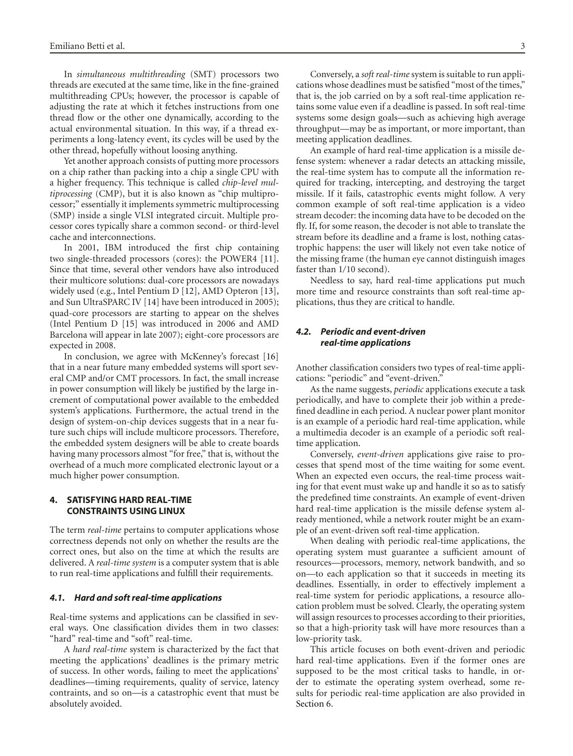In *simultaneous multithreading* (SMT) processors two threads are executed at the same time, like in the fine-grained multithreading CPUs; however, the processor is capable of adjusting the rate at which it fetches instructions from one thread flow or the other one dynamically, according to the actual environmental situation. In this way, if a thread experiments a long-latency event, its cycles will be used by the other thread, hopefully without loosing anything.

Yet another approach consists of putting more processors on a chip rather than packing into a chip a single CPU with a higher frequency. This technique is called *chip-level multiprocessing* (CMP), but it is also known as "chip multiprocessor;" essentially it implements symmetric multiprocessing (SMP) inside a single VLSI integrated circuit. Multiple processor cores typically share a common second- or third-level cache and interconnections.

In 2001, IBM introduced the first chip containing two single-threaded processors (cores): the POWER4 [11]. Since that time, several other vendors have also introduced their multicore solutions: dual-core processors are nowadays widely used (e.g., Intel Pentium D [12], AMD Opteron [13], and Sun UltraSPARC IV [14] have been introduced in 2005); quad-core processors are starting to appear on the shelves (Intel Pentium D [15] was introduced in 2006 and AMD Barcelona will appear in late 2007); eight-core processors are expected in 2008.

In conclusion, we agree with McKenney's forecast [16] that in a near future many embedded systems will sport several CMP and/or CMT processors. In fact, the small increase in power consumption will likely be justified by the large increment of computational power available to the embedded system's applications. Furthermore, the actual trend in the design of system-on-chip devices suggests that in a near future such chips will include multicore processors. Therefore, the embedded system designers will be able to create boards having many processors almost "for free," that is, without the overhead of a much more complicated electronic layout or a much higher power consumption.

# **4. SATISFYING HARD REAL-TIME CONSTRAINTS USING LINUX**

The term *real-time* pertains to computer applications whose correctness depends not only on whether the results are the correct ones, but also on the time at which the results are delivered. A *real-time system* is a computer system that is able to run real-time applications and fulfill their requirements.

## *4.1. Hard and soft real-time applications*

Real-time systems and applications can be classified in several ways. One classification divides them in two classes: "hard" real-time and "soft" real-time.

A *hard real-time* system is characterized by the fact that meeting the applications' deadlines is the primary metric of success. In other words, failing to meet the applications' deadlines—timing requirements, quality of service, latency contraints, and so on—is a catastrophic event that must be absolutely avoided.

Conversely, a *soft real-time*system is suitable to run applications whose deadlines must be satisfied "most of the times," that is, the job carried on by a soft real-time application retains some value even if a deadline is passed. In soft real-time systems some design goals—such as achieving high average throughput—may be as important, or more important, than meeting application deadlines.

An example of hard real-time application is a missile defense system: whenever a radar detects an attacking missile, the real-time system has to compute all the information required for tracking, intercepting, and destroying the target missile. If it fails, catastrophic events might follow. A very common example of soft real-time application is a video stream decoder: the incoming data have to be decoded on the fly. If, for some reason, the decoder is not able to translate the stream before its deadline and a frame is lost, nothing catastrophic happens: the user will likely not even take notice of the missing frame (the human eye cannot distinguish images faster than 1*/*10 second).

Needless to say, hard real-time applications put much more time and resource constraints than soft real-time applications, thus they are critical to handle.

# *4.2. Periodic and event-driven real-time applications*

Another classification considers two types of real-time applications: "periodic" and "event-driven."

As the name suggests, *periodic* applications execute a task periodically, and have to complete their job within a predefined deadline in each period. A nuclear power plant monitor is an example of a periodic hard real-time application, while a multimedia decoder is an example of a periodic soft realtime application.

Conversely, *event-driven* applications give raise to processes that spend most of the time waiting for some event. When an expected even occurs, the real-time process waiting for that event must wake up and handle it so as to satisfy the predefined time constraints. An example of event-driven hard real-time application is the missile defense system already mentioned, while a network router might be an example of an event-driven soft real-time application.

When dealing with periodic real-time applications, the operating system must guarantee a sufficient amount of resources—processors, memory, network bandwith, and so on—to each application so that it succeeds in meeting its deadlines. Essentially, in order to effectively implement a real-time system for periodic applications, a resource allocation problem must be solved. Clearly, the operating system will assign resources to processes according to their priorities, so that a high-priority task will have more resources than a low-priority task.

This article focuses on both event-driven and periodic hard real-time applications. Even if the former ones are supposed to be the most critical tasks to handle, in order to estimate the operating system overhead, some results for periodic real-time application are also provided in Section 6.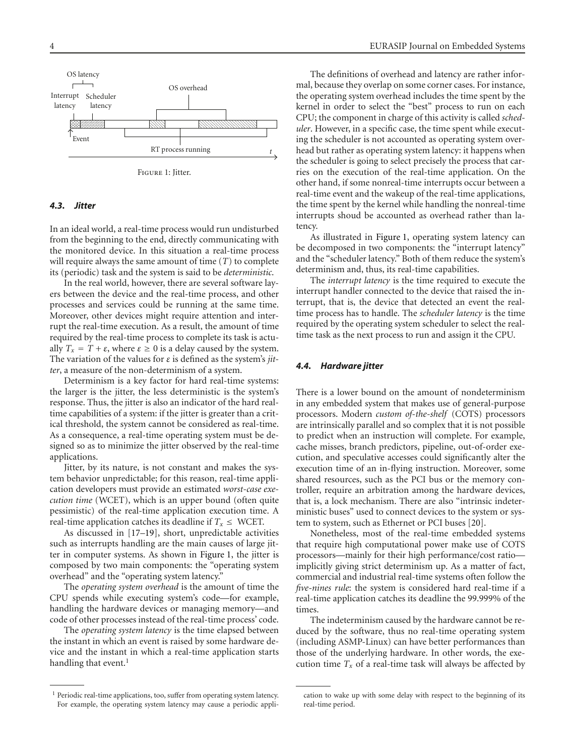

Figure 1: Jitter.

#### *4.3. Jitter*

In an ideal world, a real-time process would run undisturbed from the beginning to the end, directly communicating with the monitored device. In this situation a real-time process will require always the same amount of time (*T*) to complete its (periodic) task and the system is said to be *deterministic*.

In the real world, however, there are several software layers between the device and the real-time process, and other processes and services could be running at the same time. Moreover, other devices might require attention and interrupt the real-time execution. As a result, the amount of time required by the real-time process to complete its task is actually  $T_x = T + \varepsilon$ , where  $\varepsilon \ge 0$  is a delay caused by the system. The variation of the values for *ε* is defined as the system's *jitter*, a measure of the non-determinism of a system.

Determinism is a key factor for hard real-time systems: the larger is the jitter, the less deterministic is the system's response. Thus, the jitter is also an indicator of the hard realtime capabilities of a system: if the jitter is greater than a critical threshold, the system cannot be considered as real-time. As a consequence, a real-time operating system must be designed so as to minimize the jitter observed by the real-time applications.

Jitter, by its nature, is not constant and makes the system behavior unpredictable; for this reason, real-time application developers must provide an estimated *worst-case execution time* (WCET), which is an upper bound (often quite pessimistic) of the real-time application execution time. A real-time application catches its deadline if  $T_x \leq WCEPT$ .

As discussed in [17–19], short, unpredictable activities such as interrupts handling are the main causes of large jitter in computer systems. As shown in Figure 1, the jitter is composed by two main components: the "operating system overhead" and the "operating system latency."

The *operating system overhead* is the amount of time the CPU spends while executing system's code—for example, handling the hardware devices or managing memory—and code of other processes instead of the real-time process' code.

The *operating system latency* is the time elapsed between the instant in which an event is raised by some hardware device and the instant in which a real-time application starts handling that event.<sup>1</sup>

The definitions of overhead and latency are rather informal, because they overlap on some corner cases. For instance, the operating system overhead includes the time spent by the kernel in order to select the "best" process to run on each CPU; the component in charge of this activity is called *scheduler*. However, in a specific case, the time spent while executing the scheduler is not accounted as operating system overhead but rather as operating system latency: it happens when the scheduler is going to select precisely the process that carries on the execution of the real-time application. On the other hand, if some nonreal-time interrupts occur between a real-time event and the wakeup of the real-time applications, the time spent by the kernel while handling the nonreal-time interrupts shoud be accounted as overhead rather than latency.

As illustrated in Figure 1, operating system latency can be decomposed in two components: the "interrupt latency" and the "scheduler latency." Both of them reduce the system's determinism and, thus, its real-time capabilities.

The *interrupt latency* is the time required to execute the interrupt handler connected to the device that raised the interrupt, that is, the device that detected an event the realtime process has to handle. The *scheduler latency* is the time required by the operating system scheduler to select the realtime task as the next process to run and assign it the CPU.

#### *4.4. Hardware jitter*

There is a lower bound on the amount of nondeterminism in any embedded system that makes use of general-purpose processors. Modern *custom of-the-shelf* (COTS) processors are intrinsically parallel and so complex that it is not possible to predict when an instruction will complete. For example, cache misses, branch predictors, pipeline, out-of-order execution, and speculative accesses could significantly alter the execution time of an in-flying instruction. Moreover, some shared resources, such as the PCI bus or the memory controller, require an arbitration among the hardware devices, that is, a lock mechanism. There are also "intrinsic indeterministic buses" used to connect devices to the system or system to system, such as Ethernet or PCI buses [20].

Nonetheless, most of the real-time embedded systems that require high computational power make use of COTS processors—mainly for their high performance/cost ratio implicitly giving strict determinism up. As a matter of fact, commercial and industrial real-time systems often follow the *five-nines rule*: the system is considered hard real-time if a real-time application catches its deadline the 99.999% of the times.

The indeterminism caused by the hardware cannot be reduced by the software, thus no real-time operating system (including ASMP-Linux) can have better performances than those of the underlying hardware. In other words, the execution time  $T_x$  of a real-time task will always be affected by

<sup>&</sup>lt;sup>1</sup> Periodic real-time applications, too, suffer from operating system latency. For example, the operating system latency may cause a periodic appli-

cation to wake up with some delay with respect to the beginning of its real-time period.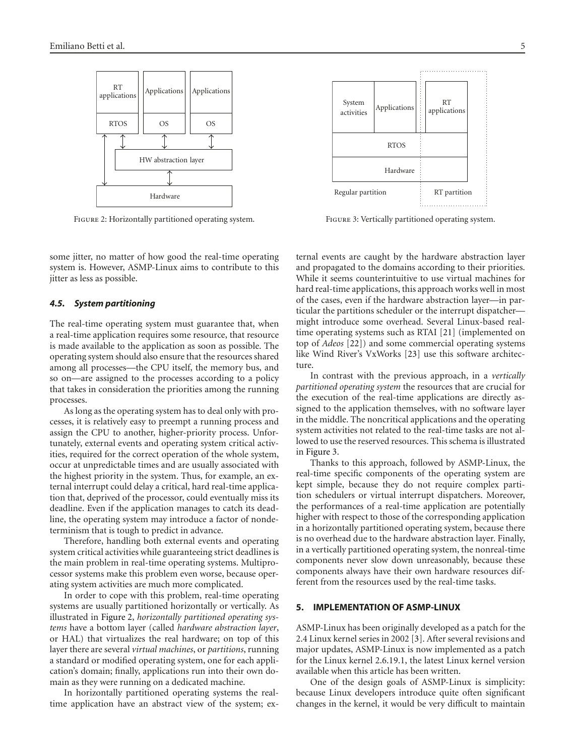

Figure 2: Horizontally partitioned operating system.

some jitter, no matter of how good the real-time operating system is. However, ASMP-Linux aims to contribute to this jitter as less as possible.

#### *4.5. System partitioning*

The real-time operating system must guarantee that, when a real-time application requires some resource, that resource is made available to the application as soon as possible. The operating system should also ensure that the resources shared among all processes—the CPU itself, the memory bus, and so on—are assigned to the processes according to a policy that takes in consideration the priorities among the running processes.

As long as the operating system has to deal only with processes, it is relatively easy to preempt a running process and assign the CPU to another, higher-priority process. Unfortunately, external events and operating system critical activities, required for the correct operation of the whole system, occur at unpredictable times and are usually associated with the highest priority in the system. Thus, for example, an external interrupt could delay a critical, hard real-time application that, deprived of the processor, could eventually miss its deadline. Even if the application manages to catch its deadline, the operating system may introduce a factor of nondeterminism that is tough to predict in advance.

Therefore, handling both external events and operating system critical activities while guaranteeing strict deadlines is the main problem in real-time operating systems. Multiprocessor systems make this problem even worse, because operating system activities are much more complicated.

In order to cope with this problem, real-time operating systems are usually partitioned horizontally or vertically. As illustrated in Figure 2, *horizontally partitioned operating systems* have a bottom layer (called *hardware abstraction layer*, or HAL) that virtualizes the real hardware; on top of this layer there are several *virtual machines*, or *partitions*, running a standard or modified operating system, one for each application's domain; finally, applications run into their own domain as they were running on a dedicated machine.

In horizontally partitioned operating systems the realtime application have an abstract view of the system; ex-



Figure 3: Vertically partitioned operating system.

ternal events are caught by the hardware abstraction layer and propagated to the domains according to their priorities. While it seems counterintuitive to use virtual machines for hard real-time applications, this approach works well in most of the cases, even if the hardware abstraction layer—in particular the partitions scheduler or the interrupt dispatcher might introduce some overhead. Several Linux-based realtime operating systems such as RTAI [21] (implemented on top of *Adeos* [22]) and some commercial operating systems like Wind River's VxWorks [23] use this software architecture.

In contrast with the previous approach, in a *vertically partitioned operating system* the resources that are crucial for the execution of the real-time applications are directly assigned to the application themselves, with no software layer in the middle. The noncritical applications and the operating system activities not related to the real-time tasks are not allowed to use the reserved resources. This schema is illustrated in Figure 3.

Thanks to this approach, followed by ASMP-Linux, the real-time specific components of the operating system are kept simple, because they do not require complex partition schedulers or virtual interrupt dispatchers. Moreover, the performances of a real-time application are potentially higher with respect to those of the corresponding application in a horizontally partitioned operating system, because there is no overhead due to the hardware abstraction layer. Finally, in a vertically partitioned operating system, the nonreal-time components never slow down unreasonably, because these components always have their own hardware resources different from the resources used by the real-time tasks.

#### **5. IMPLEMENTATION OF ASMP-LINUX**

ASMP-Linux has been originally developed as a patch for the 2.4 Linux kernel series in 2002 [3]. After several revisions and major updates, ASMP-Linux is now implemented as a patch for the Linux kernel 2.6.19.1, the latest Linux kernel version available when this article has been written.

One of the design goals of ASMP-Linux is simplicity: because Linux developers introduce quite often significant changes in the kernel, it would be very difficult to maintain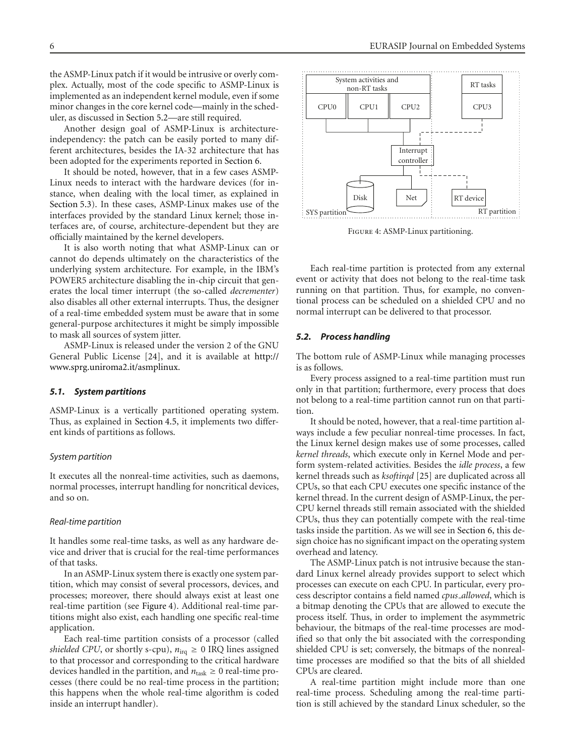the ASMP-Linux patch if it would be intrusive or overly complex. Actually, most of the code specific to ASMP-Linux is implemented as an independent kernel module, even if some minor changes in the core kernel code—mainly in the scheduler, as discussed in Section 5.2—are still required.

Another design goal of ASMP-Linux is architectureindependency: the patch can be easily ported to many different architectures, besides the IA-32 architecture that has been adopted for the experiments reported in Section 6.

It should be noted, however, that in a few cases ASMP-Linux needs to interact with the hardware devices (for instance, when dealing with the local timer, as explained in Section 5.3). In these cases, ASMP-Linux makes use of the interfaces provided by the standard Linux kernel; those interfaces are, of course, architecture-dependent but they are officially maintained by the kernel developers.

It is also worth noting that what ASMP-Linux can or cannot do depends ultimately on the characteristics of the underlying system architecture. For example, in the IBM's POWER5 architecture disabling the in-chip circuit that generates the local timer interrupt (the so-called *decrementer*) also disables all other external interrupts. Thus, the designer of a real-time embedded system must be aware that in some general-purpose architectures it might be simply impossible to mask all sources of system jitter.

ASMP-Linux is released under the version 2 of the GNU General Public License [24], and it is available at http:// www.sprg.uniroma2.it/asmplinux.

#### *5.1. System partitions*

ASMP-Linux is a vertically partitioned operating system. Thus, as explained in Section 4.5, it implements two different kinds of partitions as follows.

#### *System partition*

It executes all the nonreal-time activities, such as daemons, normal processes, interrupt handling for noncritical devices, and so on.

#### *Real-time partition*

It handles some real-time tasks, as well as any hardware device and driver that is crucial for the real-time performances of that tasks.

In an ASMP-Linux system there is exactly one system partition, which may consist of several processors, devices, and processes; moreover, there should always exist at least one real-time partition (see Figure 4). Additional real-time partitions might also exist, each handling one specific real-time application.

Each real-time partition consists of a processor (called *shielded CPU*, or shortly s-cpu),  $n_{\text{irq}} \geq 0$  IRQ lines assigned to that processor and corresponding to the critical hardware devices handled in the partition, and  $n_{task} \ge 0$  real-time processes (there could be no real-time process in the partition; this happens when the whole real-time algorithm is coded inside an interrupt handler).



Figure 4: ASMP-Linux partitioning.

Each real-time partition is protected from any external event or activity that does not belong to the real-time task running on that partition. Thus, for example, no conventional process can be scheduled on a shielded CPU and no normal interrupt can be delivered to that processor.

# *5.2. Process handling*

The bottom rule of ASMP-Linux while managing processes is as follows.

Every process assigned to a real-time partition must run only in that partition; furthermore, every process that does not belong to a real-time partition cannot run on that partition.

It should be noted, however, that a real-time partition always include a few peculiar nonreal-time processes. In fact, the Linux kernel design makes use of some processes, called *kernel threads*, which execute only in Kernel Mode and perform system-related activities. Besides the *idle process*, a few kernel threads such as *ksoftirqd* [25] are duplicated across all CPUs, so that each CPU executes one specific instance of the kernel thread. In the current design of ASMP-Linux, the per-CPU kernel threads still remain associated with the shielded CPUs, thus they can potentially compete with the real-time tasks inside the partition. As we will see in Section 6, this design choice has no significant impact on the operating system overhead and latency.

The ASMP-Linux patch is not intrusive because the standard Linux kernel already provides support to select which processes can execute on each CPU. In particular, every process descriptor contains a field named *cpus allowed*, which is a bitmap denoting the CPUs that are allowed to execute the process itself. Thus, in order to implement the asymmetric behaviour, the bitmaps of the real-time processes are modified so that only the bit associated with the corresponding shielded CPU is set; conversely, the bitmaps of the nonrealtime processes are modified so that the bits of all shielded CPUs are cleared.

A real-time partition might include more than one real-time process. Scheduling among the real-time partition is still achieved by the standard Linux scheduler, so the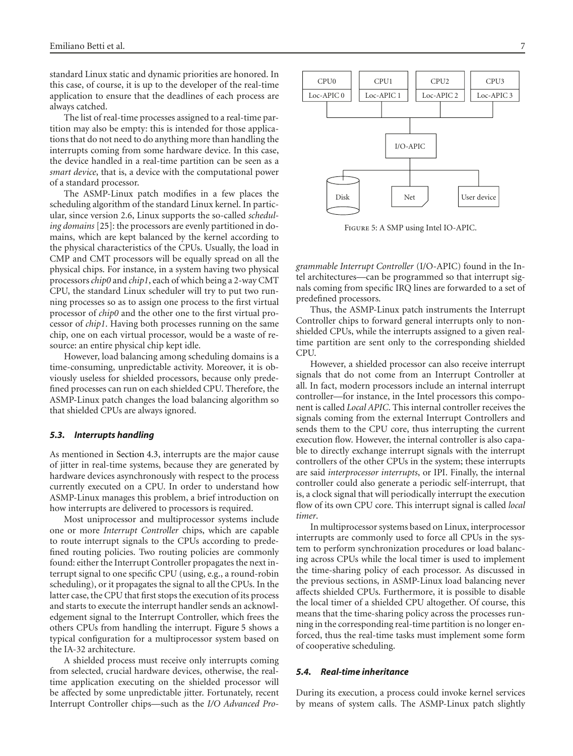standard Linux static and dynamic priorities are honored. In this case, of course, it is up to the developer of the real-time application to ensure that the deadlines of each process are always catched.

The list of real-time processes assigned to a real-time partition may also be empty: this is intended for those applications that do not need to do anything more than handling the interrupts coming from some hardware device. In this case, the device handled in a real-time partition can be seen as a *smart device*, that is, a device with the computational power of a standard processor.

The ASMP-Linux patch modifies in a few places the scheduling algorithm of the standard Linux kernel. In particular, since version 2.6, Linux supports the so-called *scheduling domains* [25]: the processors are evenly partitioned in domains, which are kept balanced by the kernel according to the physical characteristics of the CPUs. Usually, the load in CMP and CMT processors will be equally spread on all the physical chips. For instance, in a system having two physical processors*chip0* and *chip1*, each of which being a 2-way CMT CPU, the standard Linux scheduler will try to put two running processes so as to assign one process to the first virtual processor of *chip0* and the other one to the first virtual processor of *chip1*. Having both processes running on the same chip, one on each virtual processor, would be a waste of resource: an entire physical chip kept idle.

However, load balancing among scheduling domains is a time-consuming, unpredictable activity. Moreover, it is obviously useless for shielded processors, because only predefined processes can run on each shielded CPU. Therefore, the ASMP-Linux patch changes the load balancing algorithm so that shielded CPUs are always ignored.

#### *5.3. Interrupts handling*

As mentioned in Section 4.3, interrupts are the major cause of jitter in real-time systems, because they are generated by hardware devices asynchronously with respect to the process currently executed on a CPU. In order to understand how ASMP-Linux manages this problem, a brief introduction on how interrupts are delivered to processors is required.

Most uniprocessor and multiprocessor systems include one or more *Interrupt Controller* chips, which are capable to route interrupt signals to the CPUs according to predefined routing policies. Two routing policies are commonly found: either the Interrupt Controller propagates the next interrupt signal to one specific CPU (using, e.g., a round-robin scheduling), or it propagates the signal to all the CPUs. In the latter case, the CPU that first stops the execution of its process and starts to execute the interrupt handler sends an acknowledgement signal to the Interrupt Controller, which frees the others CPUs from handling the interrupt. Figure 5 shows a typical configuration for a multiprocessor system based on the IA-32 architecture.

A shielded process must receive only interrupts coming from selected, crucial hardware devices, otherwise, the realtime application executing on the shielded processor will be affected by some unpredictable jitter. Fortunately, recent Interrupt Controller chips—such as the *I/O Advanced Pro-*



Figure 5: A SMP using Intel IO-APIC.

*grammable Interrupt Controller* (I/O-APIC) found in the Intel architectures—can be programmed so that interrupt signals coming from specific IRQ lines are forwarded to a set of predefined processors.

Thus, the ASMP-Linux patch instruments the Interrupt Controller chips to forward general interrupts only to nonshielded CPUs, while the interrupts assigned to a given realtime partition are sent only to the corresponding shielded CPU.

However, a shielded processor can also receive interrupt signals that do not come from an Interrupt Controller at all. In fact, modern processors include an internal interrupt controller—for instance, in the Intel processors this component is called *Local APIC*. This internal controller receives the signals coming from the external Interrupt Controllers and sends them to the CPU core, thus interrupting the current execution flow. However, the internal controller is also capable to directly exchange interrupt signals with the interrupt controllers of the other CPUs in the system; these interrupts are said *interprocessor interrupts*, or IPI. Finally, the internal controller could also generate a periodic self-interrupt, that is, a clock signal that will periodically interrupt the execution flow of its own CPU core. This interrupt signal is called *local timer*.

In multiprocessor systems based on Linux, interprocessor interrupts are commonly used to force all CPUs in the system to perform synchronization procedures or load balancing across CPUs while the local timer is used to implement the time-sharing policy of each processor. As discussed in the previous sections, in ASMP-Linux load balancing never affects shielded CPUs. Furthermore, it is possible to disable the local timer of a shielded CPU altogether. Of course, this means that the time-sharing policy across the processes running in the corresponding real-time partition is no longer enforced, thus the real-time tasks must implement some form of cooperative scheduling.

#### *5.4. Real-time inheritance*

During its execution, a process could invoke kernel services by means of system calls. The ASMP-Linux patch slightly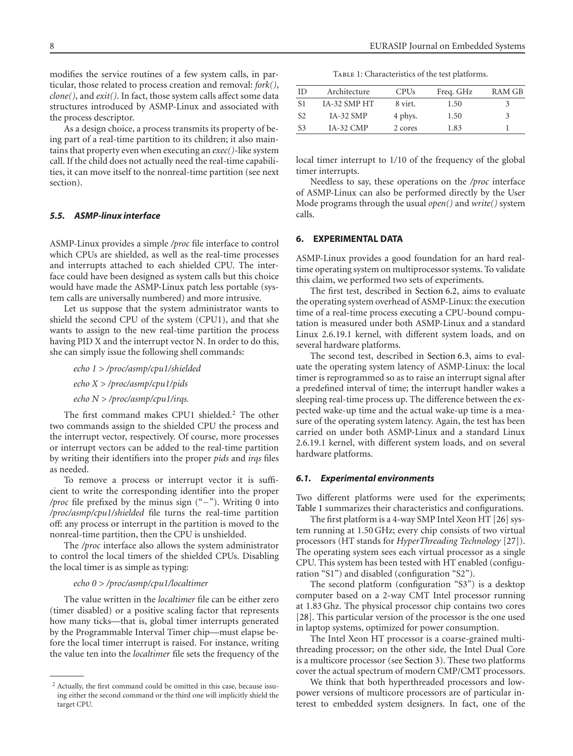modifies the service routines of a few system calls, in particular, those related to process creation and removal: *fork()*, *clone()*, and *exit()*. In fact, those system calls affect some data structures introduced by ASMP-Linux and associated with the process descriptor.

As a design choice, a process transmits its property of being part of a real-time partition to its children; it also maintains that property even when executing an *exec()*-like system call. If the child does not actually need the real-time capabilities, it can move itself to the nonreal-time partition (see next section).

#### *5.5. ASMP-linux interface*

ASMP-Linux provides a simple */proc* file interface to control which CPUs are shielded, as well as the real-time processes and interrupts attached to each shielded CPU. The interface could have been designed as system calls but this choice would have made the ASMP-Linux patch less portable (system calls are universally numbered) and more intrusive.

Let us suppose that the system administrator wants to shield the second CPU of the system (CPU1), and that she wants to assign to the new real-time partition the process having PID X and the interrupt vector N. In order to do this, she can simply issue the following shell commands:

*echo 1 > /proc/asmp/cpu1/shielded echo X > /proc/asmp/cpu1/pids echo N > /proc/asmp/cpu1/irqs.*

The first command makes CPU1 shielded.<sup>2</sup> The other two commands assign to the shielded CPU the process and the interrupt vector, respectively. Of course, more processes or interrupt vectors can be added to the real-time partition by writing their identifiers into the proper *pids* and *irqs* files as needed.

To remove a process or interrupt vector it is sufficient to write the corresponding identifier into the proper */proc* file prefixed by the minus sign ("−"). Writing 0 into */proc/asmp/cpu1/shielded* file turns the real-time partition off: any process or interrupt in the partition is moved to the nonreal-time partition, then the CPU is unshielded.

The */proc* interface also allows the system administrator to control the local timers of the shielded CPUs. Disabling the local timer is as simple as typing:

#### *echo 0 > /proc/asmp/cpu1/localtimer*

The value written in the *localtimer* file can be either zero (timer disabled) or a positive scaling factor that represents how many ticks—that is, global timer interrupts generated by the Programmable Interval Timer chip—must elapse before the local timer interrupt is raised. For instance, writing the value ten into the *localtimer* file sets the frequency of the

Table 1: Characteristics of the test platforms.

| ID             | Architecture        | <b>CPUs</b> | Freq. GHz | RAM GB |
|----------------|---------------------|-------------|-----------|--------|
| S1             | <b>IA-32 SMP HT</b> | 8 virt.     | 1.50      |        |
| S <sub>2</sub> | IA-32 SMP           | 4 phys.     | 1.50      | 3      |
| S <sub>3</sub> | $IA-32$ CMP         | 2 cores     | 1.83      |        |

local timer interrupt to 1*/*10 of the frequency of the global timer interrupts.

Needless to say, these operations on the */proc* interface of ASMP-Linux can also be performed directly by the User Mode programs through the usual *open()* and *write()* system calls.

#### **6. EXPERIMENTAL DATA**

ASMP-Linux provides a good foundation for an hard realtime operating system on multiprocessor systems. To validate this claim, we performed two sets of experiments.

The first test, described in Section 6.2, aims to evaluate the operating system overhead of ASMP-Linux: the execution time of a real-time process executing a CPU-bound computation is measured under both ASMP-Linux and a standard Linux 2.6.19.1 kernel, with different system loads, and on several hardware platforms.

The second test, described in Section 6.3, aims to evaluate the operating system latency of ASMP-Linux: the local timer is reprogrammed so as to raise an interrupt signal after a predefined interval of time; the interrupt handler wakes a sleeping real-time process up. The difference between the expected wake-up time and the actual wake-up time is a measure of the operating system latency. Again, the test has been carried on under both ASMP-Linux and a standard Linux 2.6.19.1 kernel, with different system loads, and on several hardware platforms.

#### *6.1. Experimental environments*

Two different platforms were used for the experiments; Table 1 summarizes their characteristics and configurations.

The first platform is a 4-way SMP Intel Xeon HT [26] system running at 1.50 GHz; every chip consists of two virtual processors (HT stands for *HyperThreading Technology* [27]). The operating system sees each virtual processor as a single CPU. This system has been tested with HT enabled (configuration "S1") and disabled (configuration "S2").

The second platform (configuration "S3") is a desktop computer based on a 2-way CMT Intel processor running at 1.83 Ghz. The physical processor chip contains two cores [28]. This particular version of the processor is the one used in laptop systems, optimized for power consumption.

The Intel Xeon HT processor is a coarse-grained multithreading processor; on the other side, the Intel Dual Core is a multicore processor (see Section 3). These two platforms cover the actual spectrum of modern CMP/CMT processors.

We think that both hyperthreaded processors and lowpower versions of multicore processors are of particular interest to embedded system designers. In fact, one of the

<sup>2</sup> Actually, the first command could be omitted in this case, because issuing either the second command or the third one will implicitly shield the target CPU.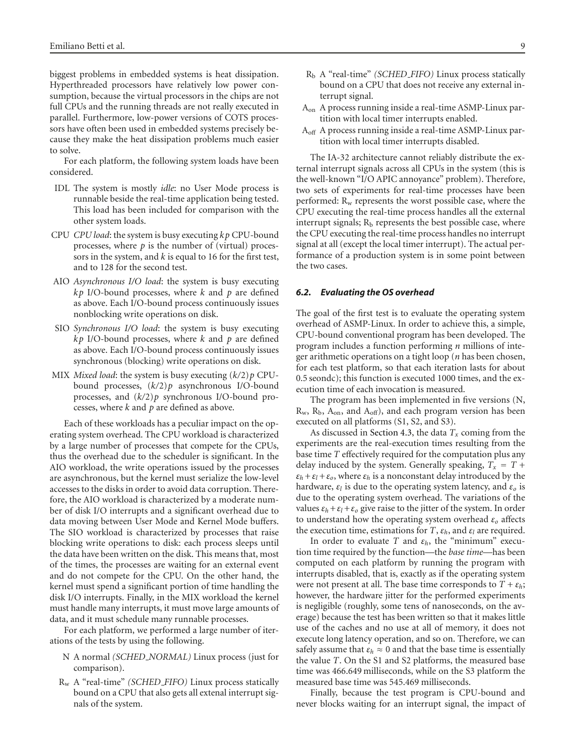biggest problems in embedded systems is heat dissipation. Hyperthreaded processors have relatively low power consumption, because the virtual processors in the chips are not full CPUs and the running threads are not really executed in parallel. Furthermore, low-power versions of COTS processors have often been used in embedded systems precisely because they make the heat dissipation problems much easier to solve.

For each platform, the following system loads have been considered.

- IDL The system is mostly *idle*: no User Mode process is runnable beside the real-time application being tested. This load has been included for comparison with the other system loads.
- CPU *CPU load*: the system is busy executing *kp* CPU-bound processes, where  $p$  is the number of (virtual) processors in the system, and *k* is equal to 16 for the first test, and to 128 for the second test.
- AIO *Asynchronous I/O load*: the system is busy executing *kp* I/O-bound processes, where *k* and *p* are defined as above. Each I/O-bound process continuously issues nonblocking write operations on disk.
- SIO *Synchronous I/O load*: the system is busy executing *kp* I/O-bound processes, where *k* and *p* are defined as above. Each I/O-bound process continuously issues synchronous (blocking) write operations on disk.
- MIX *Mixed load*: the system is busy executing (*k/*2)*p* CPUbound processes, (*k/*2)*p* asynchronous I/O-bound processes, and (*k/*2)*p* synchronous I/O-bound processes, where *k* and *p* are defined as above.

Each of these workloads has a peculiar impact on the operating system overhead. The CPU workload is characterized by a large number of processes that compete for the CPUs, thus the overhead due to the scheduler is significant. In the AIO workload, the write operations issued by the processes are asynchronous, but the kernel must serialize the low-level accesses to the disks in order to avoid data corruption. Therefore, the AIO workload is characterized by a moderate number of disk I/O interrupts and a significant overhead due to data moving between User Mode and Kernel Mode buffers. The SIO workload is characterized by processes that raise blocking write operations to disk: each process sleeps until the data have been written on the disk. This means that, most of the times, the processes are waiting for an external event and do not compete for the CPU. On the other hand, the kernel must spend a significant portion of time handling the disk I/O interrupts. Finally, in the MIX workload the kernel must handle many interrupts, it must move large amounts of data, and it must schedule many runnable processes.

For each platform, we performed a large number of iterations of the tests by using the following.

- N A normal *(SCHED NORMAL)* Linux process (just for comparison).
- Rw A "real-time" *(SCHED FIFO)* Linux process statically bound on a CPU that also gets all extenal interrupt signals of the system.
- Rb A "real-time" *(SCHED FIFO)* Linux process statically bound on a CPU that does not receive any external in-
- Aon A process running inside a real-time ASMP-Linux partition with local timer interrupts enabled.
- Aoff A process running inside a real-time ASMP-Linux partition with local timer interrupts disabled.

The IA-32 architecture cannot reliably distribute the external interrupt signals across all CPUs in the system (this is the well-known "I/O APIC annoyance" problem). Therefore, two sets of experiments for real-time processes have been performed:  $R_w$  represents the worst possible case, where the CPU executing the real-time process handles all the external interrupt signals;  $R<sub>b</sub>$  represents the best possible case, where the CPU executing the real-time process handles no interrupt signal at all (except the local timer interrupt). The actual performance of a production system is in some point between the two cases.

#### *6.2. Evaluating the OS overhead*

terrupt signal.

The goal of the first test is to evaluate the operating system overhead of ASMP-Linux. In order to achieve this, a simple, CPU-bound conventional program has been developed. The program includes a function performing *n* millions of integer arithmetic operations on a tight loop (*n* has been chosen, for each test platform, so that each iteration lasts for about 0.5 seondc); this function is executed 1000 times, and the execution time of each invocation is measured.

The program has been implemented in five versions (N,  $R_w$ ,  $R_b$ ,  $A_{on}$ , and  $A_{off}$ ), and each program version has been executed on all platforms (S1, S2, and S3).

As discussed in Section 4.3, the data  $T_x$  coming from the experiments are the real-execution times resulting from the base time *T* effectively required for the computation plus any delay induced by the system. Generally speaking,  $T_x = T + T$  $\varepsilon_h$  +  $\varepsilon_l$  +  $\varepsilon_o$ , where  $\varepsilon_h$  is a nonconstant delay introduced by the hardware, *εl* is due to the operating system latency, and *εo* is due to the operating system overhead. The variations of the values  $\varepsilon_h + \varepsilon_l + \varepsilon_o$  give raise to the jitter of the system. In order to understand how the operating system overhead *εo* affects the execution time, estimations for *T*,  $\varepsilon_h$ , and  $\varepsilon_l$  are required.

In order to evaluate *T* and  $\varepsilon_h$ , the "minimum" execution time required by the function—the *base time*—has been computed on each platform by running the program with interrupts disabled, that is, exactly as if the operating system were not present at all. The base time corresponds to  $T + \varepsilon_h$ ; however, the hardware jitter for the performed experiments is negligible (roughly, some tens of nanoseconds, on the average) because the test has been written so that it makes little use of the caches and no use at all of memory, it does not execute long latency operation, and so on. Therefore, we can safely assume that  $\varepsilon_h \approx 0$  and that the base time is essentially the value *T*. On the S1 and S2 platforms, the measured base time was 466.649 milliseconds, while on the S3 platform the measured base time was 545.469 milliseconds.

Finally, because the test program is CPU-bound and never blocks waiting for an interrupt signal, the impact of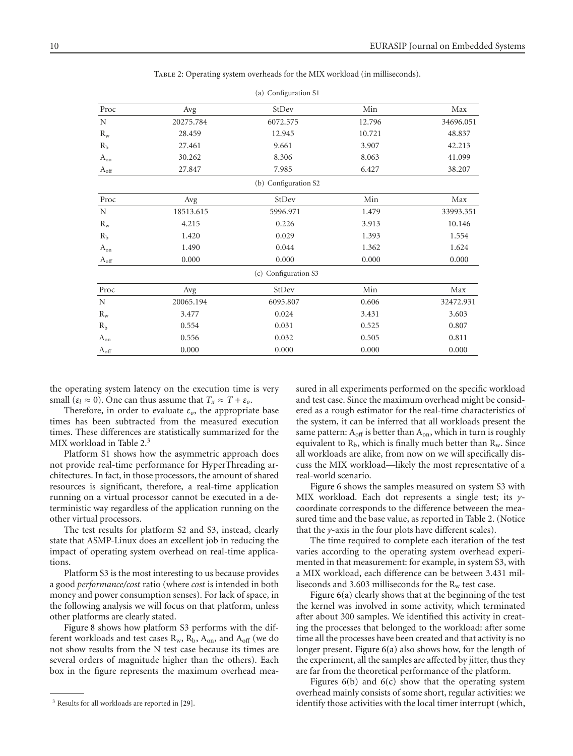| Proc          | Avg       | StDev                | Min    | Max       |
|---------------|-----------|----------------------|--------|-----------|
| N             | 20275.784 | 6072.575             | 12.796 | 34696.051 |
| $R_{w}$       | 28.459    | 12.945               | 10.721 | 48.837    |
| $R_b$         | 27.461    | 9.661                | 3.907  | 42.213    |
| $A_{on}$      | 30.262    | 8.306                | 8.063  | 41.099    |
| $\rm A_{off}$ | 27.847    | 7.985                | 6.427  | 38.207    |
|               |           | (b) Configuration S2 |        |           |
| Proc          | Avg       | StDev                | Min    | Max       |
| N             | 18513.615 | 5996.971             | 1.479  | 33993.351 |
| $R_{w}$       | 4.215     | 0.226                | 3.913  | 10.146    |
| $\rm R_b$     | 1.420     | 0.029                | 1.393  | 1.554     |
| $A_{on}$      | 1.490     | 0.044                | 1.362  | 1.624     |
| $A_{\rm off}$ | 0.000     | 0.000                | 0.000  | 0.000     |
|               |           | (c) Configuration S3 |        |           |
| Proc          | Avg       | StDev                | Min    | Max       |
| N             | 20065.194 | 6095.807             | 0.606  | 32472.931 |
| $R_{\rm w}$   | 3.477     | 0.024                | 3.431  | 3.603     |
| $R_{\rm b}$   | 0.554     | 0.031                | 0.525  | 0.807     |
| $A_{\rm on}$  | 0.556     | 0.032                | 0.505  | 0.811     |
| $\rm A_{off}$ | 0.000     | 0.000                | 0.000  | 0.000     |

Table 2: Operating system overheads for the MIX workload (in milliseconds). (a) Configuration S1

the operating system latency on the execution time is very small  $(\varepsilon_l \approx 0)$ . One can thus assume that  $T_x \approx T + \varepsilon_o$ .

Therefore, in order to evaluate  $\varepsilon_o$ , the appropriate base times has been subtracted from the measured execution times. These differences are statistically summarized for the MIX workload in Table 2. 3

Platform S1 shows how the asymmetric approach does not provide real-time performance for HyperThreading architectures. In fact, in those processors, the amount of shared resources is significant, therefore, a real-time application running on a virtual processor cannot be executed in a deterministic way regardless of the application running on the other virtual processors.

The test results for platform S2 and S3, instead, clearly state that ASMP-Linux does an excellent job in reducing the impact of operating system overhead on real-time applications.

Platform S3 is the most interesting to us because provides a good *performance/cost* ratio (where *cost* is intended in both money and power consumption senses). For lack of space, in the following analysis we will focus on that platform, unless other platforms are clearly stated.

Figure 8 shows how platform S3 performs with the different workloads and test cases  $R_w$ ,  $R_b$ ,  $A_{on}$ , and  $A_{off}$  (we do not show results from the N test case because its times are several orders of magnitude higher than the others). Each box in the figure represents the maximum overhead measured in all experiments performed on the specific workload and test case. Since the maximum overhead might be considered as a rough estimator for the real-time characteristics of the system, it can be inferred that all workloads present the same pattern:  $A_{off}$  is better than  $A_{on}$ , which in turn is roughly equivalent to  $R_b$ , which is finally much better than  $R_w$ . Since all workloads are alike, from now on we will specifically discuss the MIX workload—likely the most representative of a real-world scenario.

Figure 6 shows the samples measured on system S3 with MIX workload. Each dot represents a single test; its *y*coordinate corresponds to the difference betweeen the measured time and the base value, as reported in Table 2. (Notice that the *y*-axis in the four plots have different scales).

The time required to complete each iteration of the test varies according to the operating system overhead experimented in that measurement: for example, in system S3, with a MIX workload, each difference can be between 3.431 milliseconds and 3.603 milliseconds for the  $R_w$  test case.

Figure 6(a) clearly shows that at the beginning of the test the kernel was involved in some activity, which terminated after about 300 samples. We identified this activity in creating the processes that belonged to the workload: after some time all the processes have been created and that activity is no longer present. Figure 6(a) also shows how, for the length of the experiment, all the samples are affected by jitter, thus they are far from the theoretical performance of the platform.

Figures  $6(b)$  and  $6(c)$  show that the operating system overhead mainly consists of some short, regular activities: we identify those activities with the local timer interrupt (which,

<sup>3</sup> Results for all workloads are reported in [29].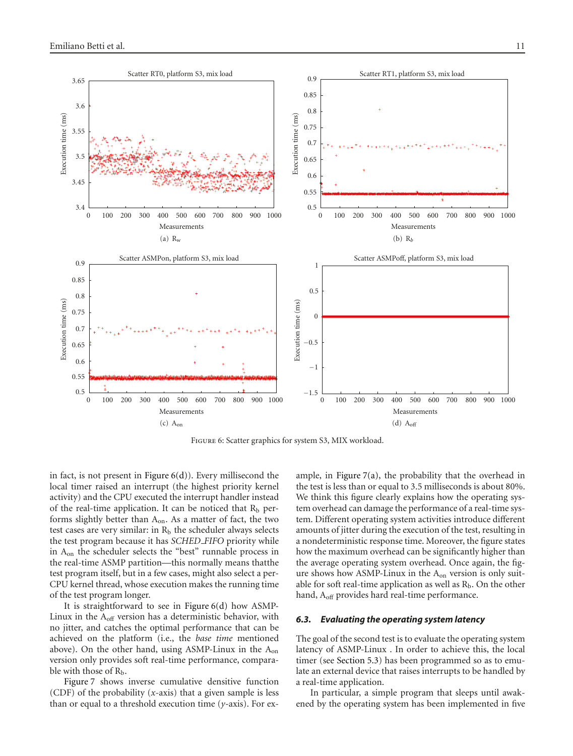

Figure 6: Scatter graphics for system S3, MIX workload.

in fact, is not present in Figure  $6(d)$ ). Every millisecond the local timer raised an interrupt (the highest priority kernel activity) and the CPU executed the interrupt handler instead of the real-time application. It can be noticed that  $R_b$  performs slightly better than Aon. As a matter of fact, the two test cases are very similar: in  $R<sub>b</sub>$  the scheduler always selects the test program because it has *SCHED FIFO* priority while in Aon the scheduler selects the "best" runnable process in the real-time ASMP partition—this normally means thatthe test program itself, but in a few cases, might also select a per-CPU kernel thread, whose execution makes the running time of the test program longer.

It is straightforward to see in Figure 6(d) how ASMP-Linux in the A<sub>off</sub> version has a deterministic behavior, with no jitter, and catches the optimal performance that can be achieved on the platform (i.e., the *base time* mentioned above). On the other hand, using ASMP-Linux in the  $A_{on}$ version only provides soft real-time performance, comparable with those of  $R<sub>b</sub>$ .

Figure 7 shows inverse cumulative densitive function (CDF) of the probability (*x*-axis) that a given sample is less than or equal to a threshold execution time (*y*-axis). For example, in Figure 7(a), the probability that the overhead in the test is less than or equal to 3.5 milliseconds is about 80%. We think this figure clearly explains how the operating system overhead can damage the performance of a real-time system. Different operating system activities introduce different amounts of jitter during the execution of the test, resulting in a nondeterministic response time. Moreover, the figure states how the maximum overhead can be significantly higher than the average operating system overhead. Once again, the figure shows how ASMP-Linux in the  $A_{on}$  version is only suitable for soft real-time application as well as  $R<sub>b</sub>$ . On the other hand,  $A_{\text{off}}$  provides hard real-time performance.

#### *6.3. Evaluating the operating system latency*

The goal of the second test is to evaluate the operating system latency of ASMP-Linux . In order to achieve this, the local timer (see Section 5.3) has been programmed so as to emulate an external device that raises interrupts to be handled by a real-time application.

In particular, a simple program that sleeps until awakened by the operating system has been implemented in five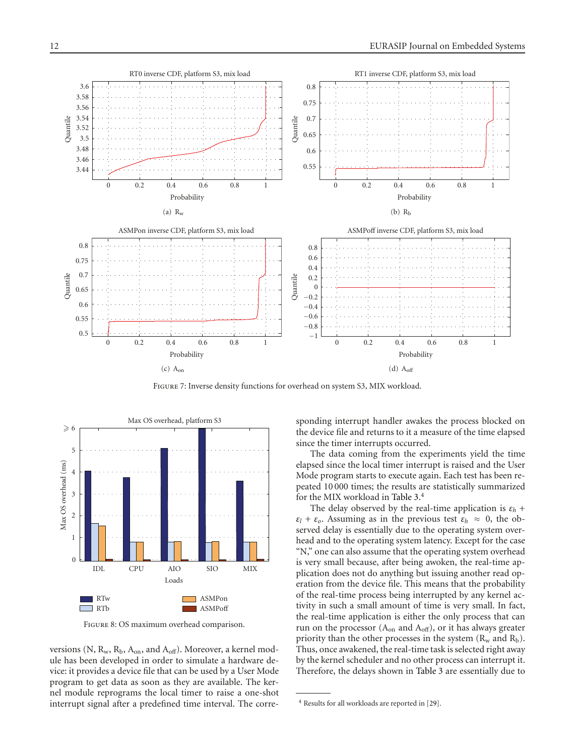

Figure 7: Inverse density functions for overhead on system S3, MIX workload.



Figure 8: OS maximum overhead comparison.

versions (N,  $R_w$ ,  $R_b$ ,  $A_{on}$ , and  $A_{off}$ ). Moreover, a kernel module has been developed in order to simulate a hardware device: it provides a device file that can be used by a User Mode program to get data as soon as they are available. The kernel module reprograms the local timer to raise a one-shot interrupt signal after a predefined time interval. The corresponding interrupt handler awakes the process blocked on the device file and returns to it a measure of the time elapsed since the timer interrupts occurred.

The data coming from the experiments yield the time elapsed since the local timer interrupt is raised and the User Mode program starts to execute again. Each test has been repeated 10 000 times; the results are statistically summarized for the MIX workload in Table 3. 4

The delay observed by the real-time application is  $\varepsilon_h$  +  $\varepsilon_l$  +  $\varepsilon_o$ . Assuming as in the previous test  $\varepsilon_h \approx 0$ , the observed delay is essentially due to the operating system overhead and to the operating system latency. Except for the case "N," one can also assume that the operating system overhead is very small because, after being awoken, the real-time application does not do anything but issuing another read operation from the device file. This means that the probability of the real-time process being interrupted by any kernel activity in such a small amount of time is very small. In fact, the real-time application is either the only process that can run on the processor ( $A_{on}$  and  $A_{off}$ ), or it has always greater priority than the other processes in the system  $(R_w$  and  $R_b)$ . Thus, once awakened, the real-time task is selected right away by the kernel scheduler and no other process can interrupt it. Therefore, the delays shown in Table 3 are essentially due to

<sup>4</sup> Results for all workloads are reported in [29].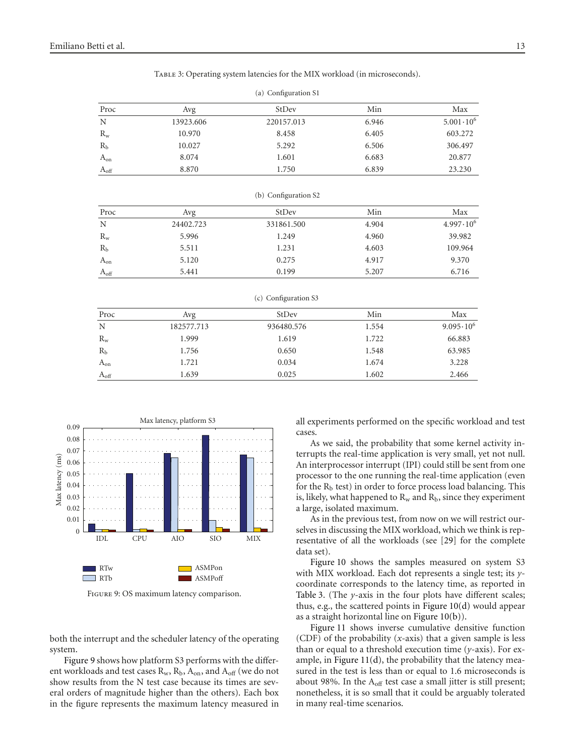| (a) Configuration S1 |           |            |       |                      |
|----------------------|-----------|------------|-------|----------------------|
| Proc                 | Avg       | StDev      | Min   | Max                  |
| N                    | 13923.606 | 220157.013 | 6.946 | $5.001 \cdot 10^{6}$ |
| $R_{w}$              | 10.970    | 8.458      | 6.405 | 603.272              |
| $R_b$                | 10.027    | 5.292      | 6.506 | 306.497              |
| $A_{on}$             | 8.074     | 1.601      | 6.683 | 20.877               |
| $A_{\rm off}$        | 8.870     | 1.750      | 6.839 | 23.230               |

Table 3: Operating system latencies for the MIX workload (in microseconds).

| $\binom{a}{b}$ comparation of |           |            |       |              |
|-------------------------------|-----------|------------|-------|--------------|
| Proc                          | Avg       | StDev      | Min   | Max          |
| N                             | 13923.606 | 220157.013 | 6.946 | $5.001 - 10$ |
| $R_{w}$                       | 10.970    | 8.458      | 6.405 | 603.272      |
| $R_{\rm b}$                   | 10.027    | 5.292      | 6.506 | 306.497      |
| $A_{on}$                      | 8.074     | 1.601      | 6.683 | 20.877       |
| $A_{\text{off}}$              | 8.870     | 1.750      | 6.839 | 23.230       |
|                               |           |            |       |              |

| Proc      | Avg       | StDev                | Min   | Max                  |
|-----------|-----------|----------------------|-------|----------------------|
| N         | 24402.723 | 331861.500           | 4.904 | $4.997 \cdot 10^{6}$ |
| $R_{w}$   | 5.996     | 1.249                | 4.960 | 39.982               |
| $R_b$     | 5.511     | 1.231                | 4.603 | 109.964              |
| $A_{on}$  | 5.120     | 0.275                | 4.917 | 9.370                |
| $A_{off}$ | 5.441     | 0.199                | 5.207 | 6.716                |
|           |           |                      |       |                      |
|           |           | (c) Configuration S3 |       |                      |

(b) Configuration S2

| Proc           | Avg        | StDev      | Min   | Max                  |
|----------------|------------|------------|-------|----------------------|
| N              | 182577.713 | 936480.576 | 1.554 | $9.095 \cdot 10^{6}$ |
| $R_{w}$        | 1.999      | 1.619      | 1.722 | 66.883               |
| R <sub>b</sub> | 1.756      | 0.650      | 1.548 | 63.985               |
| $A_{on}$       | 1.721      | 0.034      | 1.674 | 3.228                |
| $A_{\rm off}$  | 1.639      | 0.025      | 1.602 | 2.466                |



Figure 9: OS maximum latency comparison.

both the interrupt and the scheduler latency of the operating system.

Figure 9 shows how platform S3 performs with the different workloads and test cases R<sub>w</sub>, R<sub>b</sub>, A<sub>on</sub>, and A<sub>off</sub> (we do not show results from the N test case because its times are several orders of magnitude higher than the others). Each box in the figure represents the maximum latency measured in

all experiments performed on the specific workload and test cases.

As we said, the probability that some kernel activity interrupts the real-time application is very small, yet not null. An interprocessor interrupt (IPI) could still be sent from one processor to the one running the real-time application (even for the  $R<sub>b</sub>$  test) in order to force process load balancing. This is, likely, what happened to  $R_w$  and  $R_b$ , since they experiment a large, isolated maximum.

As in the previous test, from now on we will restrict ourselves in discussing the MIX workload, which we think is representative of all the workloads (see [29] for the complete data set).

Figure 10 shows the samples measured on system S3 with MIX workload. Each dot represents a single test; its *y*coordinate corresponds to the latency time, as reported in Table 3. (The *y*-axis in the four plots have different scales; thus, e.g., the scattered points in Figure 10(d) would appear as a straight horizontal line on Figure 10(b)).

Figure 11 shows inverse cumulative densitive function (CDF) of the probability (*x*-axis) that a given sample is less than or equal to a threshold execution time (*y*-axis). For example, in Figure  $11(d)$ , the probability that the latency measured in the test is less than or equal to 1.6 microseconds is about 98%. In the  $A_{off}$  test case a small jitter is still present; nonetheless, it is so small that it could be arguably tolerated in many real-time scenarios.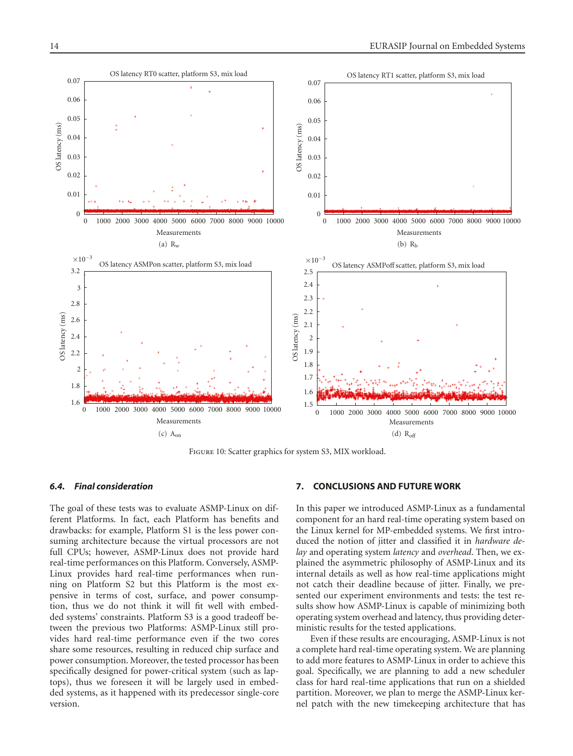

Figure 10: Scatter graphics for system S3, MIX workload.

#### *6.4. Final consideration*

The goal of these tests was to evaluate ASMP-Linux on different Platforms. In fact, each Platform has benefits and drawbacks: for example, Platform S1 is the less power consuming architecture because the virtual processors are not full CPUs; however, ASMP-Linux does not provide hard real-time performances on this Platform. Conversely, ASMP-Linux provides hard real-time performances when running on Platform S2 but this Platform is the most expensive in terms of cost, surface, and power consumption, thus we do not think it will fit well with embedded systems' constraints. Platform S3 is a good tradeoff between the previous two Platforms: ASMP-Linux still provides hard real-time performance even if the two cores share some resources, resulting in reduced chip surface and power consumption. Moreover, the tested processor has been specifically designed for power-critical system (such as laptops), thus we foreseen it will be largely used in embedded systems, as it happened with its predecessor single-core version.

#### **7. CONCLUSIONS AND FUTURE WORK**

In this paper we introduced ASMP-Linux as a fundamental component for an hard real-time operating system based on the Linux kernel for MP-embedded systems. We first introduced the notion of jitter and classified it in *hardware delay* and operating system *latency* and *overhead*. Then, we explained the asymmetric philosophy of ASMP-Linux and its internal details as well as how real-time applications might not catch their deadline because of jitter. Finally, we presented our experiment environments and tests: the test results show how ASMP-Linux is capable of minimizing both operating system overhead and latency, thus providing deterministic results for the tested applications.

Even if these results are encouraging, ASMP-Linux is not a complete hard real-time operating system. We are planning to add more features to ASMP-Linux in order to achieve this goal. Specifically, we are planning to add a new scheduler class for hard real-time applications that run on a shielded partition. Moreover, we plan to merge the ASMP-Linux kernel patch with the new timekeeping architecture that has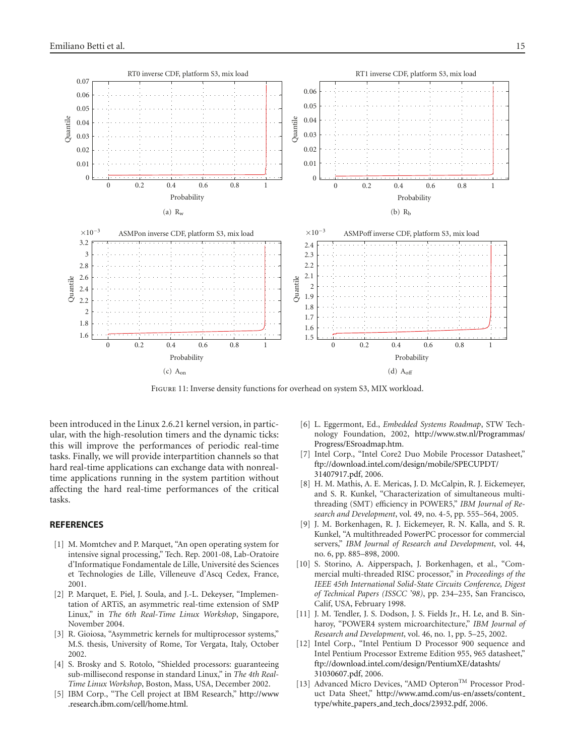

Figure 11: Inverse density functions for overhead on system S3, MIX workload.

been introduced in the Linux 2.6.21 kernel version, in particular, with the high-resolution timers and the dynamic ticks: this will improve the performances of periodic real-time tasks. Finally, we will provide interpartition channels so that hard real-time applications can exchange data with nonrealtime applications running in the system partition without affecting the hard real-time performances of the critical tasks.

# **REFERENCES**

- [1] M. Momtchev and P. Marquet, "An open operating system for intensive signal processing," Tech. Rep. 2001-08, Lab-Oratoire d'Informatique Fondamentale de Lille, Universite des Sciences ´ et Technologies de Lille, Villeneuve d'Ascq Cedex, France, 2001.
- [2] P. Marquet, E. Piel, J. Soula, and J.-L. Dekeyser, "Implementation of ARTiS, an asymmetric real-time extension of SMP Linux," in *The 6th Real-Time Linux Workshop*, Singapore, November 2004.
- [3] R. Gioiosa, "Asymmetric kernels for multiprocessor systems," M.S. thesis, University of Rome, Tor Vergata, Italy, October 2002.
- [4] S. Brosky and S. Rotolo, "Shielded processors: guaranteeing sub-millisecond response in standard Linux," in *The 4th Real-Time Linux Workshop*, Boston, Mass, USA, December 2002.
- [5] IBM Corp., "The Cell project at IBM Research," http://www .research.ibm.com/cell/home.html.
- [6] L. Eggermont, Ed., *Embedded Systems Roadmap*, STW Technology Foundation, 2002, http://www.stw.nl/Programmas/ Progress/ESroadmap.htm.
- [7] Intel Corp., "Intel Core2 Duo Mobile Processor Datasheet," ftp://download.intel.com/design/mobile/SPECUPDT/ 31407917.pdf, 2006.
- [8] H. M. Mathis, A. E. Mericas, J. D. McCalpin, R. J. Eickemeyer, and S. R. Kunkel, "Characterization of simultaneous multithreading (SMT) efficiency in POWER5," *IBM Journal of Research and Development*, vol. 49, no. 4-5, pp. 555–564, 2005.
- [9] J. M. Borkenhagen, R. J. Eickemeyer, R. N. Kalla, and S. R. Kunkel, "A multithreaded PowerPC processor for commercial servers," *IBM Journal of Research and Development*, vol. 44, no. 6, pp. 885–898, 2000.
- [10] S. Storino, A. Aipperspach, J. Borkenhagen, et al., "Commercial multi-threaded RISC processor," in *Proceedings of the IEEE 45th International Solid-State Circuits Conference, Digest of Technical Papers (ISSCC '98)*, pp. 234–235, San Francisco, Calif, USA, February 1998.
- [11] J. M. Tendler, J. S. Dodson, J. S. Fields Jr., H. Le, and B. Sinharoy, "POWER4 system microarchitecture," *IBM Journal of Research and Development*, vol. 46, no. 1, pp. 5–25, 2002.
- [12] Intel Corp., "Intel Pentium D Processor 900 sequence and Intel Pentium Processor Extreme Edition 955, 965 datasheet," ftp://download.intel.com/design/PentiumXE/datashts/ 31030607.pdf, 2006.
- [13] Advanced Micro Devices, "AMD Opteron<sup>TM</sup> Processor Product Data Sheet," http://www.amd.com/us-en/assets/content type/white papers and tech docs/23932.pdf, 2006.